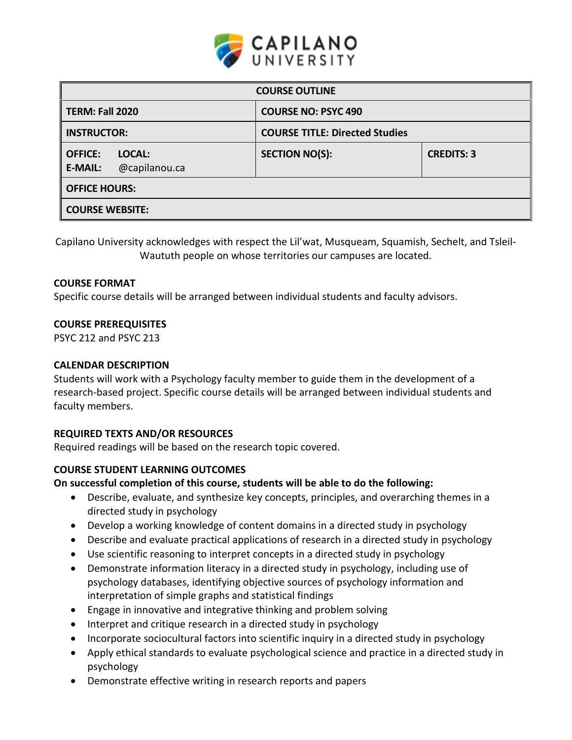

| <b>COURSE OUTLINE</b>                                       |                                       |                   |  |  |  |
|-------------------------------------------------------------|---------------------------------------|-------------------|--|--|--|
| <b>TERM: Fall 2020</b>                                      | <b>COURSE NO: PSYC 490</b>            |                   |  |  |  |
| <b>INSTRUCTOR:</b>                                          | <b>COURSE TITLE: Directed Studies</b> |                   |  |  |  |
| <b>OFFICE:</b><br>LOCAL:<br><b>E-MAIL:</b><br>@capilanou.ca | <b>SECTION NO(S):</b>                 | <b>CREDITS: 3</b> |  |  |  |
| <b>OFFICE HOURS:</b>                                        |                                       |                   |  |  |  |
| <b>COURSE WEBSITE:</b>                                      |                                       |                   |  |  |  |

Capilano University acknowledges with respect the Lil'wat, Musqueam, Squamish, Sechelt, and Tsleil-Waututh people on whose territories our campuses are located.

#### **COURSE FORMAT**

Specific course details will be arranged between individual students and faculty advisors.

#### **COURSE PREREQUISITES**

PSYC 212 and PSYC 213

#### **CALENDAR DESCRIPTION**

Students will work with a Psychology faculty member to guide them in the development of a research-based project. Specific course details will be arranged between individual students and faculty members.

### **REQUIRED TEXTS AND/OR RESOURCES**

Required readings will be based on the research topic covered.

### **COURSE STUDENT LEARNING OUTCOMES**

**On successful completion of this course, students will be able to do the following:**

- Describe, evaluate, and synthesize key concepts, principles, and overarching themes in a directed study in psychology
- Develop a working knowledge of content domains in a directed study in psychology
- Describe and evaluate practical applications of research in a directed study in psychology
- Use scientific reasoning to interpret concepts in a directed study in psychology
- Demonstrate information literacy in a directed study in psychology, including use of psychology databases, identifying objective sources of psychology information and interpretation of simple graphs and statistical findings
- Engage in innovative and integrative thinking and problem solving
- Interpret and critique research in a directed study in psychology
- Incorporate sociocultural factors into scientific inquiry in a directed study in psychology
- Apply ethical standards to evaluate psychological science and practice in a directed study in psychology
- Demonstrate effective writing in research reports and papers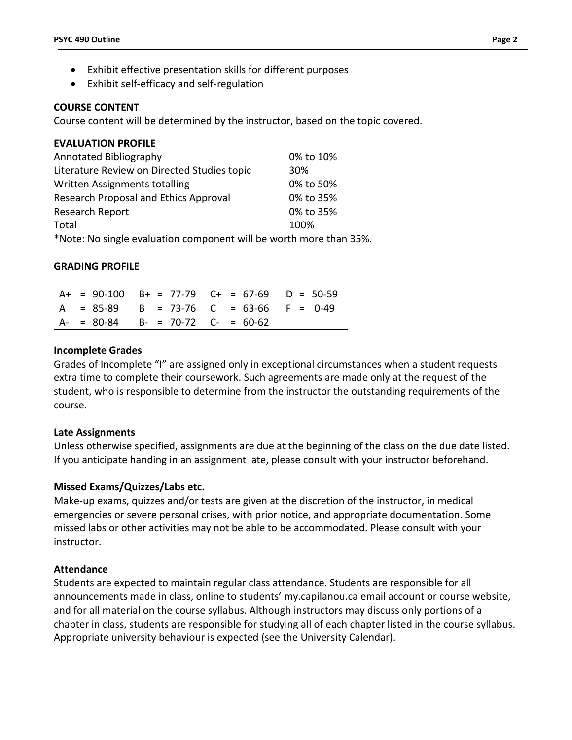- Exhibit effective presentation skills for different purposes
- Exhibit self-efficacy and self-regulation

### **COURSE CONTENT**

Course content will be determined by the instructor, based on the topic covered.

# **EVALUATION PROFILE**

| Annotated Bibliography                                             | 0% to 10% |
|--------------------------------------------------------------------|-----------|
| Literature Review on Directed Studies topic                        | 30%       |
| Written Assignments totalling                                      | 0% to 50% |
| Research Proposal and Ethics Approval                              | 0% to 35% |
| Research Report                                                    | 0% to 35% |
| Total                                                              | 100%      |
| *Note: No single evaluation component will be worth more than 35%. |           |

#### **GRADING PROFILE**

|  |               |                           | $A+ = 90-100$ $B+ = 77-79$ $C+ = 67-69$ $D = 50-59$ |  |
|--|---------------|---------------------------|-----------------------------------------------------|--|
|  |               |                           | $= 85-89$  B = 73-76  C = 63-66  F = 0-49           |  |
|  | $A - = 80-84$ | $B- = 70-72$ $C- = 60-62$ |                                                     |  |

#### **Incomplete Grades**

Grades of Incomplete "I" are assigned only in exceptional circumstances when a student requests extra time to complete their coursework. Such agreements are made only at the request of the student, who is responsible to determine from the instructor the outstanding requirements of the course.

### **Late Assignments**

Unless otherwise specified, assignments are due at the beginning of the class on the due date listed. If you anticipate handing in an assignment late, please consult with your instructor beforehand.

### **Missed Exams/Quizzes/Labs etc.**

Make-up exams, quizzes and/or tests are given at the discretion of the instructor, in medical emergencies or severe personal crises, with prior notice, and appropriate documentation. Some missed labs or other activities may not be able to be accommodated. Please consult with your instructor.

### **Attendance**

Students are expected to maintain regular class attendance. Students are responsible for all announcements made in class, online to students' my.capilanou.ca email account or course website, and for all material on the course syllabus. Although instructors may discuss only portions of a chapter in class, students are responsible for studying all of each chapter listed in the course syllabus. Appropriate university behaviour is expected (see the University Calendar).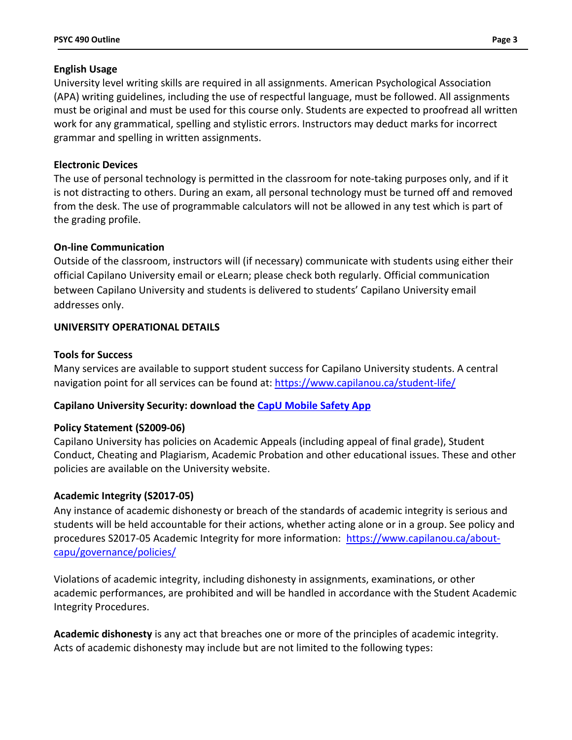### **English Usage**

University level writing skills are required in all assignments. American Psychological Association (APA) writing guidelines, including the use of respectful language, must be followed. All assignments must be original and must be used for this course only. Students are expected to proofread all written work for any grammatical, spelling and stylistic errors. Instructors may deduct marks for incorrect grammar and spelling in written assignments.

## **Electronic Devices**

The use of personal technology is permitted in the classroom for note-taking purposes only, and if it is not distracting to others. During an exam, all personal technology must be turned off and removed from the desk. The use of programmable calculators will not be allowed in any test which is part of the grading profile.

## **On-line Communication**

Outside of the classroom, instructors will (if necessary) communicate with students using either their official Capilano University email or eLearn; please check both regularly. Official communication between Capilano University and students is delivered to students' Capilano University email addresses only.

## **UNIVERSITY OPERATIONAL DETAILS**

### **Tools for Success**

Many services are available to support student success for Capilano University students. A central navigation point for all services can be found at:<https://www.capilanou.ca/student-life/>

## **Capilano University Security: download the [CapU Mobile Safety App](https://www.capilanou.ca/student-life/support--wellness/safety--security/capu-safe-app/)**

### **Policy Statement (S2009-06)**

Capilano University has policies on Academic Appeals (including appeal of final grade), Student Conduct, Cheating and Plagiarism, Academic Probation and other educational issues. These and other policies are available on the University website.

## **Academic Integrity (S2017-05)**

Any instance of academic dishonesty or breach of the standards of academic integrity is serious and students will be held accountable for their actions, whether acting alone or in a group. See policy and procedures S2017-05 Academic Integrity for more information: [https://www.capilanou.ca/about](https://www.capilanou.ca/about-capu/governance/policies/)[capu/governance/policies/](https://www.capilanou.ca/about-capu/governance/policies/)

Violations of academic integrity, including dishonesty in assignments, examinations, or other academic performances, are prohibited and will be handled in accordance with the Student Academic Integrity Procedures.

**Academic dishonesty** is any act that breaches one or more of the principles of academic integrity. Acts of academic dishonesty may include but are not limited to the following types: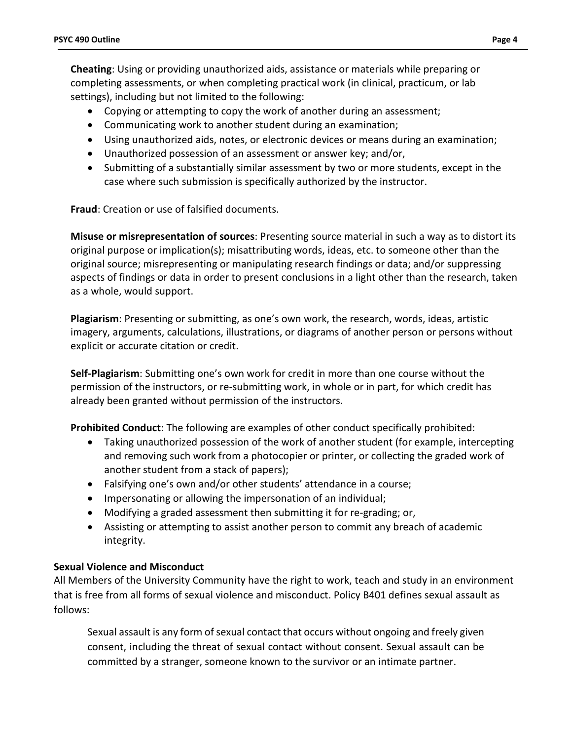**Cheating**: Using or providing unauthorized aids, assistance or materials while preparing or completing assessments, or when completing practical work (in clinical, practicum, or lab settings), including but not limited to the following:

- Copying or attempting to copy the work of another during an assessment;
- Communicating work to another student during an examination;
- Using unauthorized aids, notes, or electronic devices or means during an examination;
- Unauthorized possession of an assessment or answer key; and/or,
- Submitting of a substantially similar assessment by two or more students, except in the case where such submission is specifically authorized by the instructor.

**Fraud**: Creation or use of falsified documents.

**Misuse or misrepresentation of sources**: Presenting source material in such a way as to distort its original purpose or implication(s); misattributing words, ideas, etc. to someone other than the original source; misrepresenting or manipulating research findings or data; and/or suppressing aspects of findings or data in order to present conclusions in a light other than the research, taken as a whole, would support.

**Plagiarism**: Presenting or submitting, as one's own work, the research, words, ideas, artistic imagery, arguments, calculations, illustrations, or diagrams of another person or persons without explicit or accurate citation or credit.

**Self-Plagiarism**: Submitting one's own work for credit in more than one course without the permission of the instructors, or re-submitting work, in whole or in part, for which credit has already been granted without permission of the instructors.

**Prohibited Conduct**: The following are examples of other conduct specifically prohibited:

- Taking unauthorized possession of the work of another student (for example, intercepting and removing such work from a photocopier or printer, or collecting the graded work of another student from a stack of papers);
- Falsifying one's own and/or other students' attendance in a course;
- Impersonating or allowing the impersonation of an individual;
- Modifying a graded assessment then submitting it for re-grading; or,
- Assisting or attempting to assist another person to commit any breach of academic integrity.

## **Sexual Violence and Misconduct**

All Members of the University Community have the right to work, teach and study in an environment that is free from all forms of sexual violence and misconduct. Policy B401 defines sexual assault as follows:

Sexual assault is any form of sexual contact that occurs without ongoing and freely given consent, including the threat of sexual contact without consent. Sexual assault can be committed by a stranger, someone known to the survivor or an intimate partner.